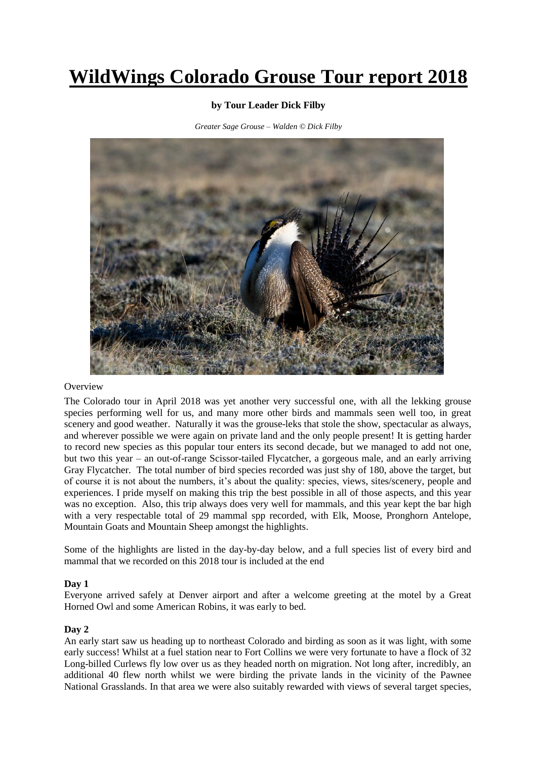# **WildWings Colorado Grouse Tour report 2018**

# **by Tour Leader Dick Filby**

*Greater Sage Grouse – Walden © Dick Filby*



## **Overview**

The Colorado tour in April 2018 was yet another very successful one, with all the lekking grouse species performing well for us, and many more other birds and mammals seen well too, in great scenery and good weather. Naturally it was the grouse-leks that stole the show, spectacular as always, and wherever possible we were again on private land and the only people present! It is getting harder to record new species as this popular tour enters its second decade, but we managed to add not one, but two this year – an out-of-range Scissor-tailed Flycatcher, a gorgeous male, and an early arriving Gray Flycatcher. The total number of bird species recorded was just shy of 180, above the target, but of course it is not about the numbers, it's about the quality: species, views, sites/scenery, people and experiences. I pride myself on making this trip the best possible in all of those aspects, and this year was no exception. Also, this trip always does very well for mammals, and this year kept the bar high with a very respectable total of 29 mammal spp recorded, with Elk, Moose, Pronghorn Antelope, Mountain Goats and Mountain Sheep amongst the highlights.

Some of the highlights are listed in the day-by-day below, and a full species list of every bird and mammal that we recorded on this 2018 tour is included at the end

# **Day 1**

Everyone arrived safely at Denver airport and after a welcome greeting at the motel by a Great Horned Owl and some American Robins, it was early to bed.

# **Day 2**

An early start saw us heading up to northeast Colorado and birding as soon as it was light, with some early success! Whilst at a fuel station near to Fort Collins we were very fortunate to have a flock of 32 Long-billed Curlews fly low over us as they headed north on migration. Not long after, incredibly, an additional 40 flew north whilst we were birding the private lands in the vicinity of the Pawnee National Grasslands. In that area we were also suitably rewarded with views of several target species,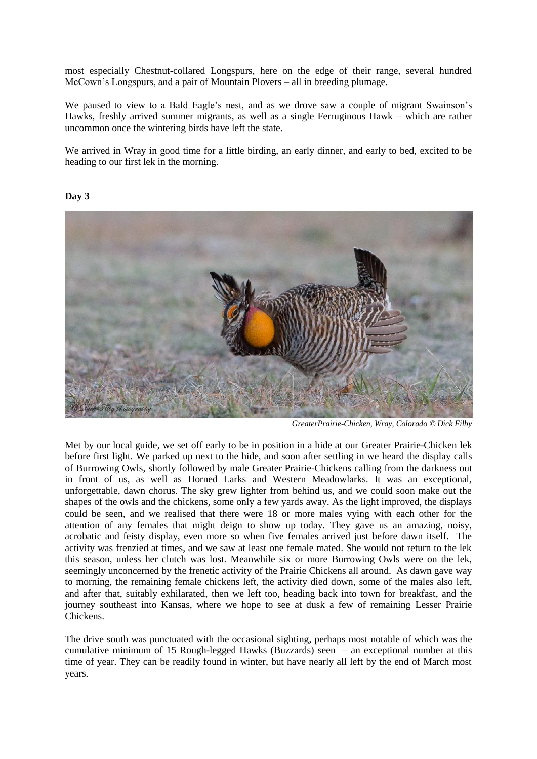most especially Chestnut-collared Longspurs, here on the edge of their range, several hundred McCown's Longspurs, and a pair of Mountain Plovers – all in breeding plumage.

We paused to view to a Bald Eagle's nest, and as we drove saw a couple of migrant Swainson's Hawks, freshly arrived summer migrants, as well as a single Ferruginous Hawk – which are rather uncommon once the wintering birds have left the state.

We arrived in Wray in good time for a little birding, an early dinner, and early to bed, excited to be heading to our first lek in the morning.

# **Day 3**



*GreaterPrairie-Chicken, Wray, Colorado © Dick Filby*

Met by our local guide, we set off early to be in position in a hide at our Greater Prairie-Chicken lek before first light. We parked up next to the hide, and soon after settling in we heard the display calls of Burrowing Owls, shortly followed by male Greater Prairie-Chickens calling from the darkness out in front of us, as well as Horned Larks and Western Meadowlarks. It was an exceptional, unforgettable, dawn chorus. The sky grew lighter from behind us, and we could soon make out the shapes of the owls and the chickens, some only a few yards away. As the light improved, the displays could be seen, and we realised that there were 18 or more males vying with each other for the attention of any females that might deign to show up today. They gave us an amazing, noisy, acrobatic and feisty display, even more so when five females arrived just before dawn itself. The activity was frenzied at times, and we saw at least one female mated. She would not return to the lek this season, unless her clutch was lost. Meanwhile six or more Burrowing Owls were on the lek, seemingly unconcerned by the frenetic activity of the Prairie Chickens all around. As dawn gave way to morning, the remaining female chickens left, the activity died down, some of the males also left, and after that, suitably exhilarated, then we left too, heading back into town for breakfast, and the journey southeast into Kansas, where we hope to see at dusk a few of remaining Lesser Prairie Chickens.

The drive south was punctuated with the occasional sighting, perhaps most notable of which was the cumulative minimum of 15 Rough-legged Hawks (Buzzards) seen – an exceptional number at this time of year. They can be readily found in winter, but have nearly all left by the end of March most years.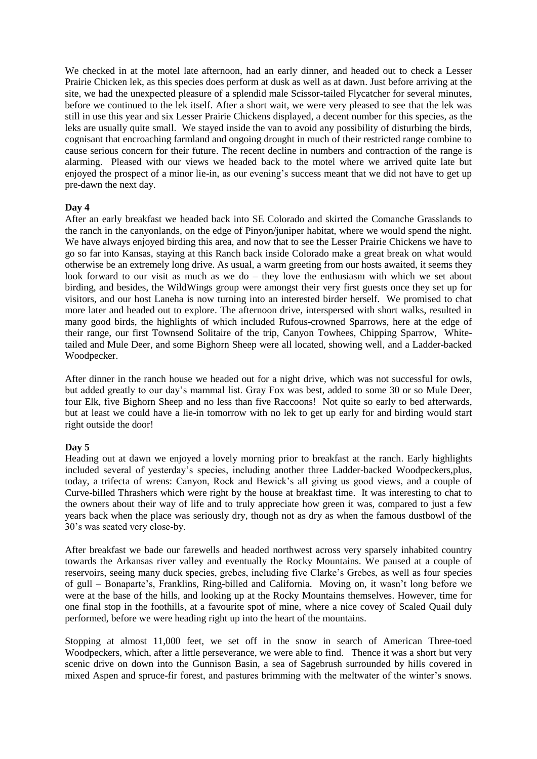We checked in at the motel late afternoon, had an early dinner, and headed out to check a Lesser Prairie Chicken lek, as this species does perform at dusk as well as at dawn. Just before arriving at the site, we had the unexpected pleasure of a splendid male Scissor-tailed Flycatcher for several minutes, before we continued to the lek itself. After a short wait, we were very pleased to see that the lek was still in use this year and six Lesser Prairie Chickens displayed, a decent number for this species, as the leks are usually quite small. We stayed inside the van to avoid any possibility of disturbing the birds, cognisant that encroaching farmland and ongoing drought in much of their restricted range combine to cause serious concern for their future. The recent decline in numbers and contraction of the range is alarming. Pleased with our views we headed back to the motel where we arrived quite late but enjoyed the prospect of a minor lie-in, as our evening's success meant that we did not have to get up pre-dawn the next day.

# **Day 4**

After an early breakfast we headed back into SE Colorado and skirted the Comanche Grasslands to the ranch in the canyonlands, on the edge of Pinyon/juniper habitat, where we would spend the night. We have always enjoyed birding this area, and now that to see the Lesser Prairie Chickens we have to go so far into Kansas, staying at this Ranch back inside Colorado make a great break on what would otherwise be an extremely long drive. As usual, a warm greeting from our hosts awaited, it seems they look forward to our visit as much as we do – they love the enthusiasm with which we set about birding, and besides, the WildWings group were amongst their very first guests once they set up for visitors, and our host Laneha is now turning into an interested birder herself. We promised to chat more later and headed out to explore. The afternoon drive, interspersed with short walks, resulted in many good birds, the highlights of which included Rufous-crowned Sparrows, here at the edge of their range, our first Townsend Solitaire of the trip, Canyon Towhees, Chipping Sparrow, Whitetailed and Mule Deer, and some Bighorn Sheep were all located, showing well, and a Ladder-backed Woodpecker.

After dinner in the ranch house we headed out for a night drive, which was not successful for owls, but added greatly to our day's mammal list. Gray Fox was best, added to some 30 or so Mule Deer, four Elk, five Bighorn Sheep and no less than five Raccoons! Not quite so early to bed afterwards, but at least we could have a lie-in tomorrow with no lek to get up early for and birding would start right outside the door!

## **Day 5**

Heading out at dawn we enjoyed a lovely morning prior to breakfast at the ranch. Early highlights included several of yesterday's species, including another three Ladder-backed Woodpeckers,plus, today, a trifecta of wrens: Canyon, Rock and Bewick's all giving us good views, and a couple of Curve-billed Thrashers which were right by the house at breakfast time. It was interesting to chat to the owners about their way of life and to truly appreciate how green it was, compared to just a few years back when the place was seriously dry, though not as dry as when the famous dustbowl of the 30's was seated very close-by.

After breakfast we bade our farewells and headed northwest across very sparsely inhabited country towards the Arkansas river valley and eventually the Rocky Mountains. We paused at a couple of reservoirs, seeing many duck species, grebes, including five Clarke's Grebes, as well as four species of gull – Bonaparte's, Franklins, Ring-billed and California. Moving on, it wasn't long before we were at the base of the hills, and looking up at the Rocky Mountains themselves. However, time for one final stop in the foothills, at a favourite spot of mine, where a nice covey of Scaled Quail duly performed, before we were heading right up into the heart of the mountains.

Stopping at almost 11,000 feet, we set off in the snow in search of American Three-toed Woodpeckers, which, after a little perseverance, we were able to find. Thence it was a short but very scenic drive on down into the Gunnison Basin, a sea of Sagebrush surrounded by hills covered in mixed Aspen and spruce-fir forest, and pastures brimming with the meltwater of the winter's snows.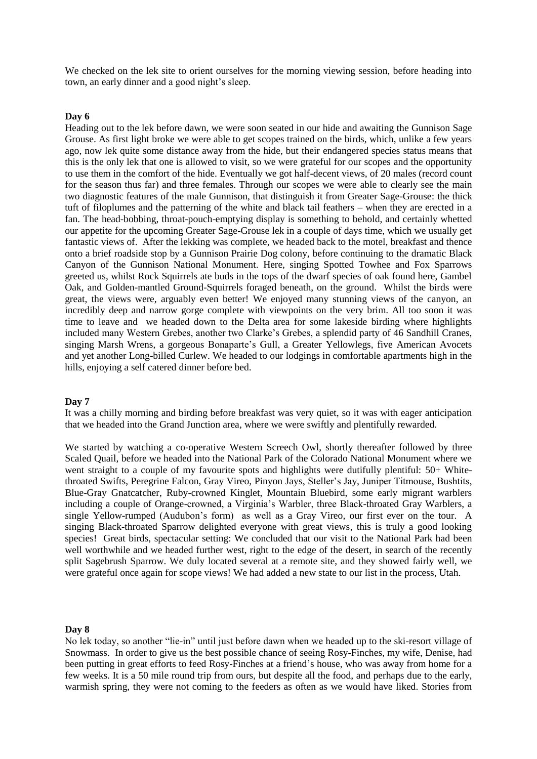We checked on the lek site to orient ourselves for the morning viewing session, before heading into town, an early dinner and a good night's sleep.

## **Day 6**

Heading out to the lek before dawn, we were soon seated in our hide and awaiting the Gunnison Sage Grouse. As first light broke we were able to get scopes trained on the birds, which, unlike a few years ago, now lek quite some distance away from the hide, but their endangered species status means that this is the only lek that one is allowed to visit, so we were grateful for our scopes and the opportunity to use them in the comfort of the hide. Eventually we got half-decent views, of 20 males (record count for the season thus far) and three females. Through our scopes we were able to clearly see the main two diagnostic features of the male Gunnison, that distinguish it from Greater Sage-Grouse: the thick tuft of filoplumes and the patterning of the white and black tail feathers – when they are erected in a fan. The head-bobbing, throat-pouch-emptying display is something to behold, and certainly whetted our appetite for the upcoming Greater Sage-Grouse lek in a couple of days time, which we usually get fantastic views of. After the lekking was complete, we headed back to the motel, breakfast and thence onto a brief roadside stop by a Gunnison Prairie Dog colony, before continuing to the dramatic Black Canyon of the Gunnison National Monument. Here, singing Spotted Towhee and Fox Sparrows greeted us, whilst Rock Squirrels ate buds in the tops of the dwarf species of oak found here, Gambel Oak, and Golden-mantled Ground-Squirrels foraged beneath, on the ground. Whilst the birds were great, the views were, arguably even better! We enjoyed many stunning views of the canyon, an incredibly deep and narrow gorge complete with viewpoints on the very brim. All too soon it was time to leave and we headed down to the Delta area for some lakeside birding where highlights included many Western Grebes, another two Clarke's Grebes, a splendid party of 46 Sandhill Cranes, singing Marsh Wrens, a gorgeous Bonaparte's Gull, a Greater Yellowlegs, five American Avocets and yet another Long-billed Curlew. We headed to our lodgings in comfortable apartments high in the hills, enjoying a self catered dinner before bed.

## **Day 7**

It was a chilly morning and birding before breakfast was very quiet, so it was with eager anticipation that we headed into the Grand Junction area, where we were swiftly and plentifully rewarded.

We started by watching a co-operative Western Screech Owl, shortly thereafter followed by three Scaled Quail, before we headed into the National Park of the Colorado National Monument where we went straight to a couple of my favourite spots and highlights were dutifully plentiful: 50+ Whitethroated Swifts, Peregrine Falcon, Gray Vireo, Pinyon Jays, Steller's Jay, Juniper Titmouse, Bushtits, Blue-Gray Gnatcatcher, Ruby-crowned Kinglet, Mountain Bluebird, some early migrant warblers including a couple of Orange-crowned, a Virginia's Warbler, three Black-throated Gray Warblers, a single Yellow-rumped (Audubon's form) as well as a Gray Vireo, our first ever on the tour. A singing Black-throated Sparrow delighted everyone with great views, this is truly a good looking species! Great birds, spectacular setting: We concluded that our visit to the National Park had been well worthwhile and we headed further west, right to the edge of the desert, in search of the recently split Sagebrush Sparrow. We duly located several at a remote site, and they showed fairly well, we were grateful once again for scope views! We had added a new state to our list in the process, Utah.

#### **Day 8**

No lek today, so another "lie-in" until just before dawn when we headed up to the ski-resort village of Snowmass. In order to give us the best possible chance of seeing Rosy-Finches, my wife, Denise, had been putting in great efforts to feed Rosy-Finches at a friend's house, who was away from home for a few weeks. It is a 50 mile round trip from ours, but despite all the food, and perhaps due to the early, warmish spring, they were not coming to the feeders as often as we would have liked. Stories from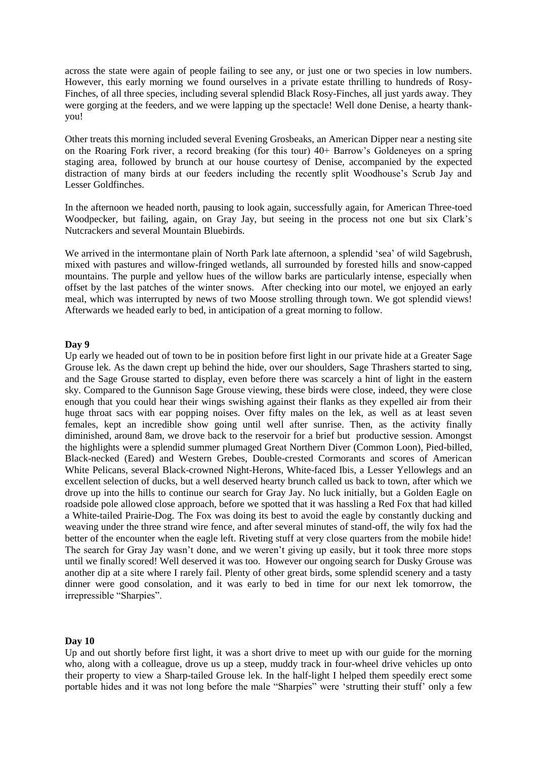across the state were again of people failing to see any, or just one or two species in low numbers. However, this early morning we found ourselves in a private estate thrilling to hundreds of Rosy-Finches, of all three species, including several splendid Black Rosy-Finches, all just yards away. They were gorging at the feeders, and we were lapping up the spectacle! Well done Denise, a hearty thankyou!

Other treats this morning included several Evening Grosbeaks, an American Dipper near a nesting site on the Roaring Fork river, a record breaking (for this tour) 40+ Barrow's Goldeneyes on a spring staging area, followed by brunch at our house courtesy of Denise, accompanied by the expected distraction of many birds at our feeders including the recently split Woodhouse's Scrub Jay and Lesser Goldfinches.

In the afternoon we headed north, pausing to look again, successfully again, for American Three-toed Woodpecker, but failing, again, on Gray Jay, but seeing in the process not one but six Clark's Nutcrackers and several Mountain Bluebirds.

We arrived in the intermontane plain of North Park late afternoon, a splendid 'sea' of wild Sagebrush, mixed with pastures and willow-fringed wetlands, all surrounded by forested hills and snow-capped mountains. The purple and yellow hues of the willow barks are particularly intense, especially when offset by the last patches of the winter snows. After checking into our motel, we enjoyed an early meal, which was interrupted by news of two Moose strolling through town. We got splendid views! Afterwards we headed early to bed, in anticipation of a great morning to follow.

## **Day 9**

Up early we headed out of town to be in position before first light in our private hide at a Greater Sage Grouse lek. As the dawn crept up behind the hide, over our shoulders, Sage Thrashers started to sing, and the Sage Grouse started to display, even before there was scarcely a hint of light in the eastern sky. Compared to the Gunnison Sage Grouse viewing, these birds were close, indeed, they were close enough that you could hear their wings swishing against their flanks as they expelled air from their huge throat sacs with ear popping noises. Over fifty males on the lek, as well as at least seven females, kept an incredible show going until well after sunrise. Then, as the activity finally diminished, around 8am, we drove back to the reservoir for a brief but productive session. Amongst the highlights were a splendid summer plumaged Great Northern Diver (Common Loon), Pied-billed, Black-necked (Eared) and Western Grebes, Double-crested Cormorants and scores of American White Pelicans, several Black-crowned Night-Herons, White-faced Ibis, a Lesser Yellowlegs and an excellent selection of ducks, but a well deserved hearty brunch called us back to town, after which we drove up into the hills to continue our search for Gray Jay. No luck initially, but a Golden Eagle on roadside pole allowed close approach, before we spotted that it was hassling a Red Fox that had killed a White-tailed Prairie-Dog. The Fox was doing its best to avoid the eagle by constantly ducking and weaving under the three strand wire fence, and after several minutes of stand-off, the wily fox had the better of the encounter when the eagle left. Riveting stuff at very close quarters from the mobile hide! The search for Gray Jay wasn't done, and we weren't giving up easily, but it took three more stops until we finally scored! Well deserved it was too. However our ongoing search for Dusky Grouse was another dip at a site where I rarely fail. Plenty of other great birds, some splendid scenery and a tasty dinner were good consolation, and it was early to bed in time for our next lek tomorrow, the irrepressible "Sharpies".

## **Day 10**

Up and out shortly before first light, it was a short drive to meet up with our guide for the morning who, along with a colleague, drove us up a steep, muddy track in four-wheel drive vehicles up onto their property to view a Sharp-tailed Grouse lek. In the half-light I helped them speedily erect some portable hides and it was not long before the male "Sharpies" were 'strutting their stuff' only a few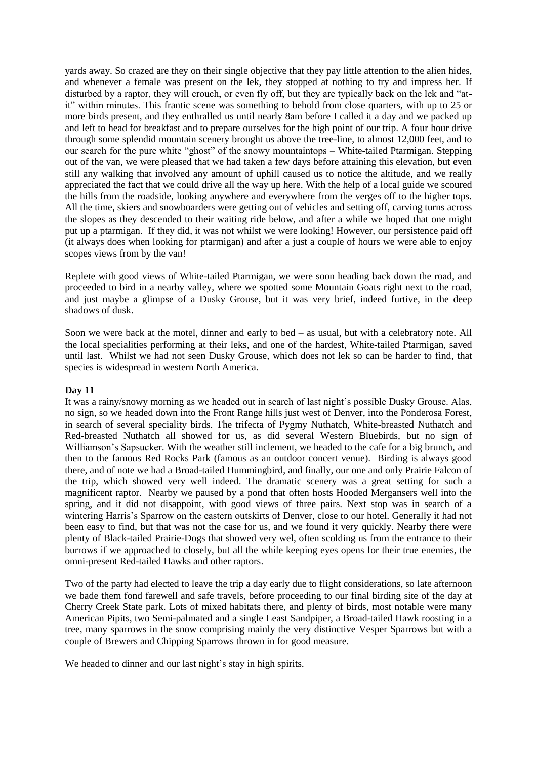yards away. So crazed are they on their single objective that they pay little attention to the alien hides, and whenever a female was present on the lek, they stopped at nothing to try and impress her. If disturbed by a raptor, they will crouch, or even fly off, but they are typically back on the lek and "atit" within minutes. This frantic scene was something to behold from close quarters, with up to 25 or more birds present, and they enthralled us until nearly 8am before I called it a day and we packed up and left to head for breakfast and to prepare ourselves for the high point of our trip. A four hour drive through some splendid mountain scenery brought us above the tree-line, to almost 12,000 feet, and to our search for the pure white "ghost" of the snowy mountaintops – White-tailed Ptarmigan. Stepping out of the van, we were pleased that we had taken a few days before attaining this elevation, but even still any walking that involved any amount of uphill caused us to notice the altitude, and we really appreciated the fact that we could drive all the way up here. With the help of a local guide we scoured the hills from the roadside, looking anywhere and everywhere from the verges off to the higher tops. All the time, skiers and snowboarders were getting out of vehicles and setting off, carving turns across the slopes as they descended to their waiting ride below, and after a while we hoped that one might put up a ptarmigan. If they did, it was not whilst we were looking! However, our persistence paid off (it always does when looking for ptarmigan) and after a just a couple of hours we were able to enjoy scopes views from by the van!

Replete with good views of White-tailed Ptarmigan, we were soon heading back down the road, and proceeded to bird in a nearby valley, where we spotted some Mountain Goats right next to the road, and just maybe a glimpse of a Dusky Grouse, but it was very brief, indeed furtive, in the deep shadows of dusk.

Soon we were back at the motel, dinner and early to bed – as usual, but with a celebratory note. All the local specialities performing at their leks, and one of the hardest, White-tailed Ptarmigan, saved until last. Whilst we had not seen Dusky Grouse, which does not lek so can be harder to find, that species is widespread in western North America.

# **Day 11**

It was a rainy/snowy morning as we headed out in search of last night's possible Dusky Grouse. Alas, no sign, so we headed down into the Front Range hills just west of Denver, into the Ponderosa Forest, in search of several speciality birds. The trifecta of Pygmy Nuthatch, White-breasted Nuthatch and Red-breasted Nuthatch all showed for us, as did several Western Bluebirds, but no sign of Williamson's Sapsucker. With the weather still inclement, we headed to the cafe for a big brunch, and then to the famous Red Rocks Park (famous as an outdoor concert venue). Birding is always good there, and of note we had a Broad-tailed Hummingbird, and finally, our one and only Prairie Falcon of the trip, which showed very well indeed. The dramatic scenery was a great setting for such a magnificent raptor. Nearby we paused by a pond that often hosts Hooded Mergansers well into the spring, and it did not disappoint, with good views of three pairs. Next stop was in search of a wintering Harris's Sparrow on the eastern outskirts of Denver, close to our hotel. Generally it had not been easy to find, but that was not the case for us, and we found it very quickly. Nearby there were plenty of Black-tailed Prairie-Dogs that showed very wel, often scolding us from the entrance to their burrows if we approached to closely, but all the while keeping eyes opens for their true enemies, the omni-present Red-tailed Hawks and other raptors.

Two of the party had elected to leave the trip a day early due to flight considerations, so late afternoon we bade them fond farewell and safe travels, before proceeding to our final birding site of the day at Cherry Creek State park. Lots of mixed habitats there, and plenty of birds, most notable were many American Pipits, two Semi-palmated and a single Least Sandpiper, a Broad-tailed Hawk roosting in a tree, many sparrows in the snow comprising mainly the very distinctive Vesper Sparrows but with a couple of Brewers and Chipping Sparrows thrown in for good measure.

We headed to dinner and our last night's stay in high spirits.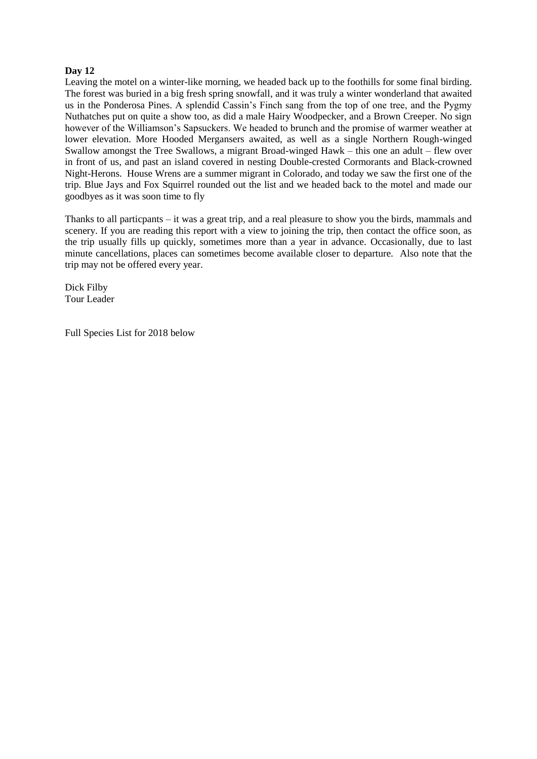# **Day 12**

Leaving the motel on a winter-like morning, we headed back up to the foothills for some final birding. The forest was buried in a big fresh spring snowfall, and it was truly a winter wonderland that awaited us in the Ponderosa Pines. A splendid Cassin's Finch sang from the top of one tree, and the Pygmy Nuthatches put on quite a show too, as did a male Hairy Woodpecker, and a Brown Creeper. No sign however of the Williamson's Sapsuckers. We headed to brunch and the promise of warmer weather at lower elevation. More Hooded Mergansers awaited, as well as a single Northern Rough-winged Swallow amongst the Tree Swallows, a migrant Broad-winged Hawk – this one an adult – flew over in front of us, and past an island covered in nesting Double-crested Cormorants and Black-crowned Night-Herons. House Wrens are a summer migrant in Colorado, and today we saw the first one of the trip. Blue Jays and Fox Squirrel rounded out the list and we headed back to the motel and made our goodbyes as it was soon time to fly

Thanks to all particpants – it was a great trip, and a real pleasure to show you the birds, mammals and scenery. If you are reading this report with a view to joining the trip, then contact the office soon, as the trip usually fills up quickly, sometimes more than a year in advance. Occasionally, due to last minute cancellations, places can sometimes become available closer to departure. Also note that the trip may not be offered every year.

Dick Filby Tour Leader

Full Species List for 2018 below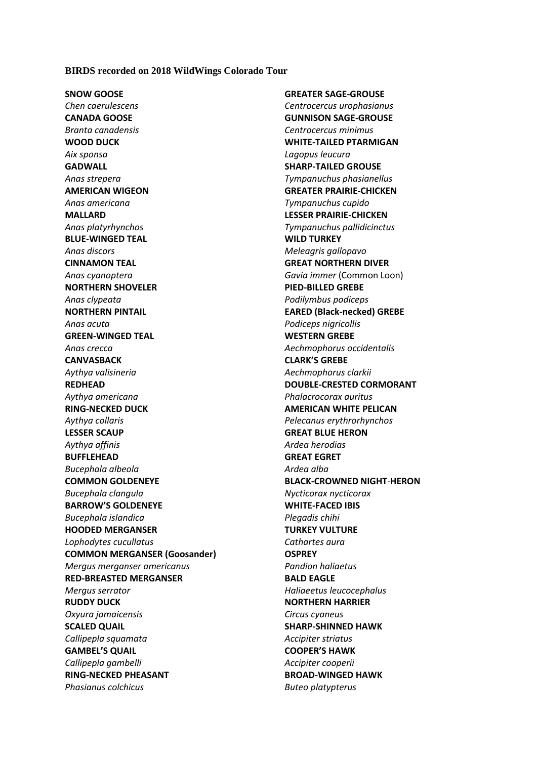## **BIRDS recorded on 2018 WildWings Colorado Tour**

**SNOW GOOSE** *Chen caerulescens* **CANADA GOOSE** *Branta canadensis* **WOOD DUCK** *Aix sponsa* **GADWALL** *Anas strepera* **AMERICAN WIGEON** *Anas americana* **MALLARD** *Anas platyrhynchos* **BLUE-WINGED TEAL** *Anas discors* **CINNAMON TEAL** *Anas cyanoptera* **NORTHERN SHOVELER** *Anas clypeata* **NORTHERN PINTAIL** *Anas acuta* **GREEN-WINGED TEAL** *Anas crecca* **CANVASBACK** *Aythya valisineria* **REDHEAD** *Aythya americana* **RING-NECKED DUCK** *Aythya collaris* **LESSER SCAUP** *Aythya affinis* **BUFFLEHEAD** *Bucephala albeola* **COMMON GOLDENEYE** *Bucephala clangula* **BARROW'S GOLDENEYE** *Bucephala islandica* **HOODED MERGANSER** *Lophodytes cucullatus* **COMMON MERGANSER (Goosander)** *Mergus merganser americanus* **RED-BREASTED MERGANSER** *Mergus serrator* **RUDDY DUCK** *Oxyura jamaicensis* **SCALED QUAIL** *Callipepla squamata* **GAMBEL'S QUAIL** *Callipepla gambelli* **RING-NECKED PHEASANT** *Phasianus colchicus*

**GREATER SAGE-GROUSE** *Centrocercus urophasianus* **GUNNISON SAGE-GROUSE** *Centrocercus minimus* **WHITE-TAILED PTARMIGAN** *Lagopus leucura* **SHARP-TAILED GROUSE** *Tympanuchus phasianellus* **GREATER PRAIRIE-CHICKEN** *Tympanuchus cupido* **LESSER PRAIRIE-CHICKEN** *Tympanuchus pallidicinctus* **WILD TURKEY** *Meleagris gallopavo* **GREAT NORTHERN DIVER** *Gavia immer* (Common Loon) **PIED-BILLED GREBE** *Podilymbus podiceps* **EARED (Black-necked) GREBE** *Podiceps nigricollis*  **WESTERN GREBE** *Aechmophorus occidentalis* **CLARK'S GREBE** *Aechmophorus clarkii* **DOUBLE-CRESTED CORMORANT** *Phalacrocorax auritus* **AMERICAN WHITE PELICAN** *Pelecanus erythrorhynchos* **GREAT BLUE HERON** *Ardea herodias* **GREAT EGRET** *Ardea alba* **BLACK-CROWNED NIGHT***-***HERON** *Nycticorax nycticorax* **WHITE-FACED IBIS** *Plegadis chihi* **TURKEY VULTURE** *Cathartes aura* **OSPREY** *Pandion haliaetus* **BALD EAGLE** *Haliaeetus leucocephalus* **NORTHERN HARRIER**  *Circus cyaneus* **SHARP-SHINNED HAWK** *Accipiter striatus* **COOPER'S HAWK** *Accipiter cooperii* **BROAD-WINGED HAWK** *Buteo platypterus*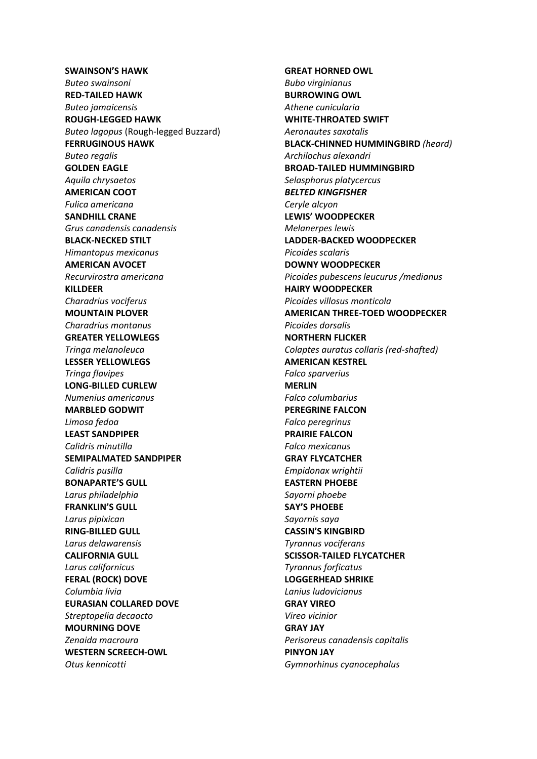## **SWAINSON'S HAWK**

*Buteo swainsoni* **RED-TAILED HAWK** *Buteo jamaicensis* **ROUGH-LEGGED HAWK** *Buteo lagopus* (Rough-legged Buzzard) **FERRUGINOUS HAWK** *Buteo regalis* **GOLDEN EAGLE** *Aquila chrysaetos* **AMERICAN COOT** *Fulica americana* **SANDHILL CRANE** *Grus canadensis canadensis* **BLACK-NECKED STILT** *Himantopus mexicanus* **AMERICAN AVOCET** *Recurvirostra americana* **KILLDEER** *Charadrius vociferus* **MOUNTAIN PLOVER** *Charadrius montanus* **GREATER YELLOWLEGS** *Tringa melanoleuca* **LESSER YELLOWLEGS** *Tringa flavipes* **LONG-BILLED CURLEW** *Numenius americanus* **MARBLED GODWIT** *Limosa fedoa* **LEAST SANDPIPER** *Calidris minutilla* **SEMIPALMATED SANDPIPER** *Calidris pusilla* **BONAPARTE'S GULL** *Larus philadelphia* **FRANKLIN'S GULL** *Larus pipixican* **RING-BILLED GULL** *Larus delawarensis* **CALIFORNIA GULL** *Larus californicus* **FERAL (ROCK) DOVE** *Columbia livia* **EURASIAN COLLARED DOVE** *Streptopelia decaocto* **MOURNING DOVE** *Zenaida macroura* **WESTERN SCREECH-OWL** *Otus kennicotti*

**GREAT HORNED OWL** *Bubo virginianus* **BURROWING OWL** *Athene cunicularia* **WHITE-THROATED SWIFT** *Aeronautes saxatalis* **BLACK-CHINNED HUMMINGBIRD** *(heard) Archilochus alexandri* **BROAD-TAILED HUMMINGBIRD** *Selasphorus platycercus BELTED KINGFISHER Ceryle alcyon* **LEWIS' WOODPECKER** *Melanerpes lewis* **LADDER-BACKED WOODPECKER** *Picoides scalaris* **DOWNY WOODPECKER** *Picoides pubescens leucurus /medianus* **HAIRY WOODPECKER** *Picoides villosus monticola* **AMERICAN THREE-TOED WOODPECKER**  *Picoides dorsalis* **NORTHERN FLICKER**  *Colaptes auratus collaris (red-shafted)* **AMERICAN KESTREL** *Falco sparverius* **MERLIN** *Falco columbarius* **PEREGRINE FALCON** *Falco peregrinus* **PRAIRIE FALCON** *Falco mexicanus* **GRAY FLYCATCHER** *Empidonax wrightii* **EASTERN PHOEBE** *Sayorni phoebe* **SAY'S PHOEBE** *Sayornis saya* **CASSIN'S KINGBIRD** *Tyrannus vociferans* **SCISSOR-TAILED FLYCATCHER** *Tyrannus forficatus* **LOGGERHEAD SHRIKE** *Lanius ludovicianus* **GRAY VIREO** *Vireo vicinior* **GRAY JAY** *Perisoreus canadensis capitalis* **PINYON JAY** *Gymnorhinus cyanocephalus*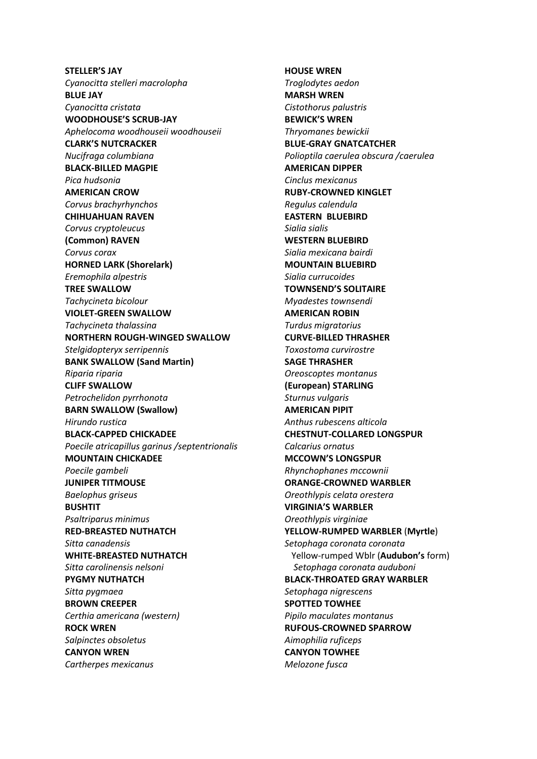**STELLER'S JAY** *Cyanocitta stelleri macrolopha* **BLUE JAY** *Cyanocitta cristata* **WOODHOUSE'S SCRUB-JAY** *Aphelocoma woodhouseii woodhouseii* **CLARK'S NUTCRACKER** *Nucifraga columbiana* **BLACK-BILLED MAGPIE** *Pica hudsonia* **AMERICAN CROW** *Corvus brachyrhynchos* **CHIHUAHUAN RAVEN** *Corvus cryptoleucus* **(Common) RAVEN** *Corvus corax* **HORNED LARK (Shorelark)** *Eremophila alpestris* **TREE SWALLOW** *Tachycineta bicolour* **VIOLET-GREEN SWALLOW** *Tachycineta thalassina* **NORTHERN ROUGH-WINGED SWALLOW** *Stelgidopteryx serripennis* **BANK SWALLOW (Sand Martin)** *Riparia riparia* **CLIFF SWALLOW** *Petrochelidon pyrrhonota* **BARN SWALLOW (Swallow)** *Hirundo rustica*  **BLACK-CAPPED CHICKADEE** *Poecile atricapillus garinus /septentrionalis* **MOUNTAIN CHICKADEE** *Poecile gambeli* **JUNIPER TITMOUSE** *Baelophus griseus* **BUSHTIT** *Psaltriparus minimus* **RED-BREASTED NUTHATCH** *Sitta canadensis* **WHITE-BREASTED NUTHATCH** *Sitta carolinensis nelsoni* **PYGMY NUTHATCH** *Sitta pygmaea* **BROWN CREEPER** *Certhia americana (western)* **ROCK WREN** *Salpinctes obsoletus* **CANYON WREN** *Cartherpes mexicanus*

**HOUSE WREN** *Troglodytes aedon* **MARSH WREN** *Cistothorus palustris* **BEWICK'S WREN** *Thryomanes bewickii* **BLUE-GRAY GNATCATCHER** *Polioptila caerulea obscura /caerulea* **AMERICAN DIPPER** *Cinclus mexicanus* **RUBY-CROWNED KINGLET** *Regulus calendula* **EASTERN BLUEBIRD** *Sialia sialis* **WESTERN BLUEBIRD** *Sialia mexicana bairdi* **MOUNTAIN BLUEBIRD** *Sialia currucoides* **TOWNSEND'S SOLITAIRE** *Myadestes townsendi* **AMERICAN ROBIN** *Turdus migratorius* **CURVE-BILLED THRASHER** *Toxostoma curvirostre* **SAGE THRASHER** *Oreoscoptes montanus* **(European) STARLING** *Sturnus vulgaris* **AMERICAN PIPIT** *Anthus rubescens alticola* **CHESTNUT-COLLARED LONGSPUR** *Calcarius ornatus* **MCCOWN'S LONGSPUR** *Rhynchophanes mccownii* **ORANGE-CROWNED WARBLER** *Oreothlypis celata orestera* **VIRGINIA'S WARBLER** *Oreothlypis virginiae* **YELLOW-RUMPED WARBLER** (**Myrtle**) *Setophaga coronata coronata* Yellow-rumped Wblr (**Audubon's** form) *Setophaga coronata auduboni* **BLACK-THROATED GRAY WARBLER** *Setophaga nigrescens* **SPOTTED TOWHEE** *Pipilo maculates montanus* **RUFOUS-CROWNED SPARROW** *Aimophilia ruficeps* **CANYON TOWHEE** *Melozone fusca*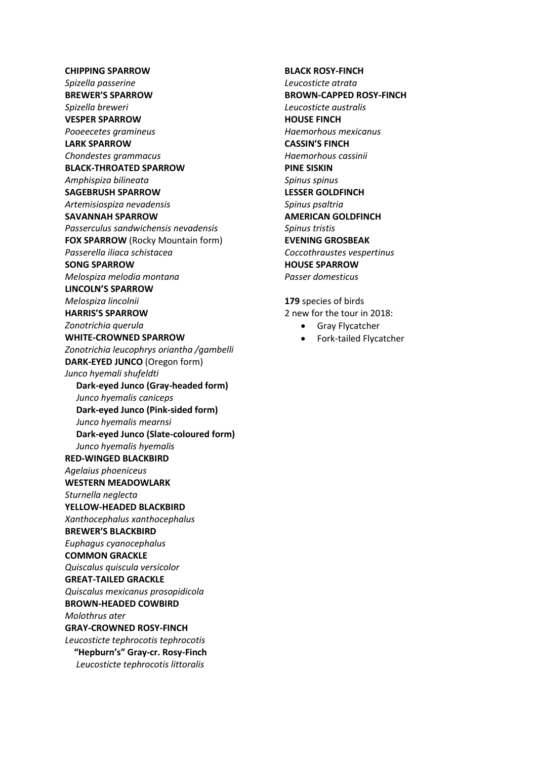## **CHIPPING SPARROW**

*Spizella passerine* **BREWER'S SPARROW** *Spizella breweri* **VESPER SPARROW** *Pooeecetes gramineus* **LARK SPARROW** *Chondestes grammacus* **BLACK-THROATED SPARROW** *Amphispiza bilineata* **SAGEBRUSH SPARROW** *Artemisiospiza nevadensis* **SAVANNAH SPARROW** *Passerculus sandwichensis nevadensis* **FOX SPARROW** (Rocky Mountain form) *Passerella iliaca schistacea* **SONG SPARROW** *Melospiza melodia montana* **LINCOLN'S SPARROW** *Melospiza lincolnii*  **HARRIS'S SPARROW** *Zonotrichia querula* **WHITE-CROWNED SPARROW** *Zonotrichia leucophrys oriantha /gambelli* **DARK-EYED JUNCO** (Oregon form) *Junco hyemali shufeldti* **Dark-eyed Junco (Gray-headed form)**  *Junco hyemalis caniceps* **Dark-eyed Junco (Pink-sided form)**  *Junco hyemalis mearnsi* **Dark-eyed Junco (Slate-coloured form)**  *Junco hyemalis hyemalis* **RED-WINGED BLACKBIRD** *Agelaius phoeniceus* **WESTERN MEADOWLARK** *Sturnella neglecta* **YELLOW-HEADED BLACKBIRD** *Xanthocephalus xanthocephalus* **BREWER'S BLACKBIRD** *Euphagus cyanocephalus* **COMMON GRACKLE** *Quiscalus quiscula versicolor* **GREAT-TAILED GRACKLE** *Quiscalus mexicanus prosopidicola* **BROWN-HEADED COWBIRD** *Molothrus ater* **GRAY-CROWNED ROSY-FINCH** *Leucosticte tephrocotis tephrocotis* **"Hepburn's" Gray-cr. Rosy-Finch** *Leucosticte tephrocotis littoralis*

#### **BLACK ROSY-FINCH**

*Leucosticte atrata* **BROWN-CAPPED ROSY-FINCH** *Leucosticte australis* **HOUSE FINCH** *Haemorhous mexicanus* **CASSIN'S FINCH** *Haemorhous cassinii* **PINE SISKIN** *Spinus spinus* **LESSER GOLDFINCH** *Spinus psaltria* **AMERICAN GOLDFINCH** *Spinus tristis* **EVENING GROSBEAK** *Coccothraustes vespertinus* **HOUSE SPARROW** *Passer domesticus*

**179** species of birds 2 new for the tour in 2018:

- Gray Flycatcher
- Fork-tailed Flycatcher